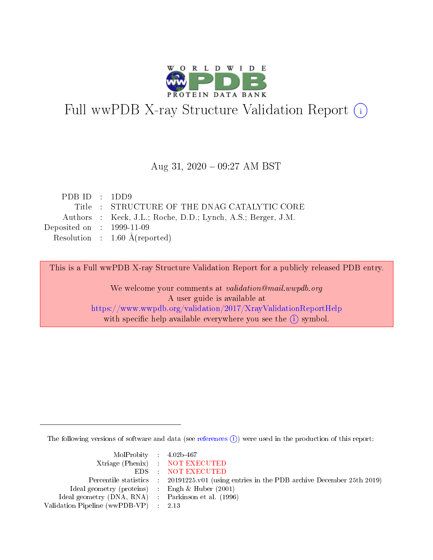

# Full wwPDB X-ray Structure Validation Report (i)

#### Aug 31,  $2020 - 09:27$  AM BST

| PDBID : 1DD9                                                 |
|--------------------------------------------------------------|
| Title : STRUCTURE OF THE DNAG CATALYTIC CORE                 |
| Authors : Keck, J.L.; Roche, D.D.; Lynch, A.S.; Berger, J.M. |
| Deposited on $\therefore$ 1999-11-09                         |
| Resolution : $1.60 \text{ Å}$ (reported)                     |
|                                                              |

This is a Full wwPDB X-ray Structure Validation Report for a publicly released PDB entry.

We welcome your comments at validation@mail.wwpdb.org A user guide is available at <https://www.wwpdb.org/validation/2017/XrayValidationReportHelp> with specific help available everywhere you see the  $(i)$  symbol.

The following versions of software and data (see [references](https://www.wwpdb.org/validation/2017/XrayValidationReportHelp#references)  $\overline{(1)}$ ) were used in the production of this report:

| $MolProbability$ 4.02b-467                          |                                                                                            |
|-----------------------------------------------------|--------------------------------------------------------------------------------------------|
|                                                     | Xtriage (Phenix) NOT EXECUTED                                                              |
|                                                     | EDS NOT EXECUTED                                                                           |
|                                                     | Percentile statistics : 20191225.v01 (using entries in the PDB archive December 25th 2019) |
| Ideal geometry (proteins) : Engh $\&$ Huber (2001)  |                                                                                            |
| Ideal geometry (DNA, RNA) : Parkinson et al. (1996) |                                                                                            |
| Validation Pipeline (wwPDB-VP) : 2.13               |                                                                                            |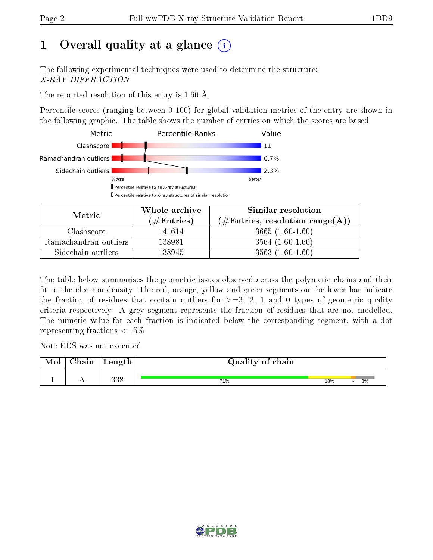# 1 [O](https://www.wwpdb.org/validation/2017/XrayValidationReportHelp#overall_quality)verall quality at a glance  $(i)$

The following experimental techniques were used to determine the structure: X-RAY DIFFRACTION

The reported resolution of this entry is 1.60 Å.

Percentile scores (ranging between 0-100) for global validation metrics of the entry are shown in the following graphic. The table shows the number of entries on which the scores are based.



| Metric                | Whole archive<br>(# $\rm{Entries}$ ) | Similar resolution<br>$(\#\text{Entries}, \text{resolution range}(\text{\AA}))$ |  |  |
|-----------------------|--------------------------------------|---------------------------------------------------------------------------------|--|--|
| Clashscore            | 141614                               | $3665(1.60-1.60)$                                                               |  |  |
| Ramachandran outliers | 138981                               | $3564(1.60-1.60)$                                                               |  |  |
| Sidechain outliers    | 138945                               | $3563(1.60-1.60)$                                                               |  |  |

The table below summarises the geometric issues observed across the polymeric chains and their fit to the electron density. The red, orange, yellow and green segments on the lower bar indicate the fraction of residues that contain outliers for  $\geq=3$ , 2, 1 and 0 types of geometric quality criteria respectively. A grey segment represents the fraction of residues that are not modelled. The numeric value for each fraction is indicated below the corresponding segment, with a dot representing fractions  $\leq=5\%$ 

Note EDS was not executed.

| Mol | Chain | Length     | Quality of chain |     |    |
|-----|-------|------------|------------------|-----|----|
|     |       | 990<br>ooc | 71%              | 18% | 8% |

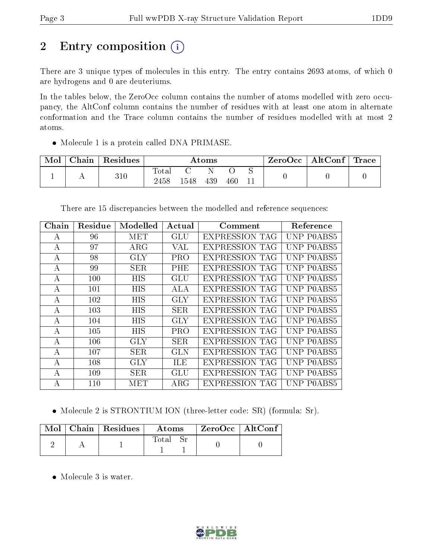# 2 Entry composition (i)

There are 3 unique types of molecules in this entry. The entry contains 2693 atoms, of which 0 are hydrogens and 0 are deuteriums.

In the tables below, the ZeroOcc column contains the number of atoms modelled with zero occupancy, the AltConf column contains the number of residues with at least one atom in alternate conformation and the Trace column contains the number of residues modelled with at most 2 atoms.

• Molecule 1 is a protein called DNA PRIMASE.

| Mol | ⊤ Chain <sup>⊥</sup> | $^\shortparallel$ Residues | $\rm{Atoms}$        |      |     |     | $\text{ZeroOcc} \mid \text{AltConf} \mid \text{Trace}$ |  |  |
|-----|----------------------|----------------------------|---------------------|------|-----|-----|--------------------------------------------------------|--|--|
|     |                      | 310                        | $\rm Total$<br>2458 | 1548 | 439 | 460 |                                                        |  |  |

There are 15 discrepancies between the modelled and reference sequences:

| Chain | Residue | Modelled   | Actual     | Comment               | Reference                              |
|-------|---------|------------|------------|-----------------------|----------------------------------------|
| А     | 96      | MET        | GLU        | <b>EXPRESSION TAG</b> | UNP P0ABS5                             |
| A     | 97      | $\rm{ARG}$ | VAL        | <b>EXPRESSION TAG</b> | UNP P0ABS5                             |
| A     | 98      | <b>GLY</b> | PRO        | <b>EXPRESSION TAG</b> | UNP P0ABS5                             |
| А     | 99      | <b>SER</b> | PHE        | <b>EXPRESSION TAG</b> | UNP P0ABS5                             |
| А     | 100     | HIS        | GLU        | <b>EXPRESSION TAG</b> | UNP P0ABS5                             |
| А     | 101     | <b>HIS</b> | ALA        | <b>EXPRESSION TAG</b> | UNP P0ABS5                             |
| А     | 102     | <b>HIS</b> | GLY        | <b>EXPRESSION TAG</b> | UNP P0ABS5                             |
| А     | 103     | <b>HIS</b> | <b>SER</b> | <b>EXPRESSION TAG</b> | UNP P0ABS5                             |
| А     | 104     | HIS        | GLY        | <b>EXPRESSION TAG</b> | UNP P0ABS5                             |
| А     | 105     | <b>HIS</b> | <b>PRO</b> | <b>EXPRESSION TAG</b> | UNP P0ABS5                             |
| А     | 106     | <b>GLY</b> | SER.       | <b>EXPRESSION TAG</b> | UNP P0ABS5                             |
| А     | 107     | <b>SER</b> | <b>GLN</b> | <b>EXPRESSION TAG</b> | UNP P0ABS5                             |
| А     | 108     | <b>GLY</b> | ILE        | <b>EXPRESSION TAG</b> | UNP P0ABS5                             |
| A     | 109     | <b>SER</b> | GLU        | <b>EXPRESSION TAG</b> | UNP P0ABS5                             |
| А     | 110     | MET        | $\rm{ARG}$ | <b>EXPRESSION TAG</b> | NP.<br>P <sub>0</sub> AB <sub>S5</sub> |

• Molecule 2 is STRONTIUM ION (three-letter code: SR) (formula: Sr).

|  | $\text{Mol}$   Chain   Residues | Atoms | $\rm ZeroOcc \mid AltConf$ |  |
|--|---------------------------------|-------|----------------------------|--|
|  |                                 | Total |                            |  |

• Molecule 3 is water.

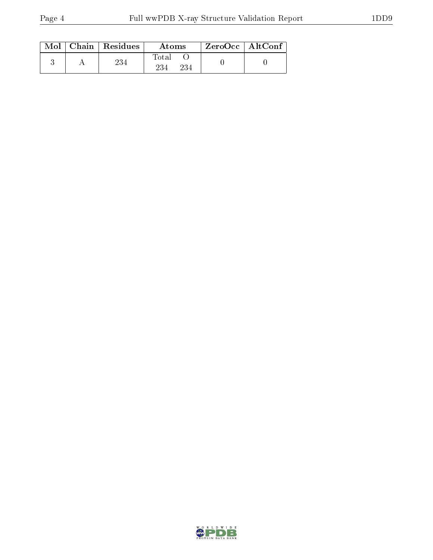|  | $Mol$   Chain   Residues | Atoms               | $ZeroOcc$   AltConf |  |
|--|--------------------------|---------------------|---------------------|--|
|  | 234                      | Fotal<br>234<br>234 |                     |  |

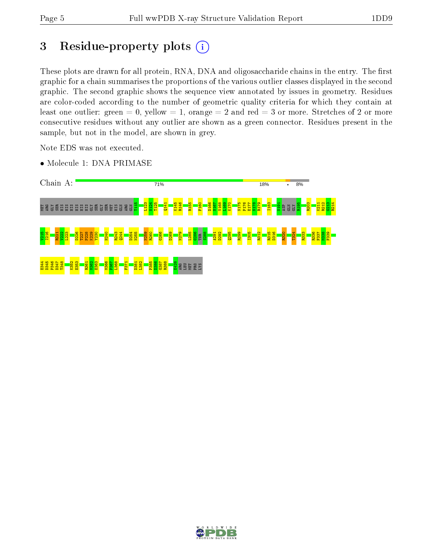# 3 Residue-property plots  $(i)$

These plots are drawn for all protein, RNA, DNA and oligosaccharide chains in the entry. The first graphic for a chain summarises the proportions of the various outlier classes displayed in the second graphic. The second graphic shows the sequence view annotated by issues in geometry. Residues are color-coded according to the number of geometric quality criteria for which they contain at least one outlier: green  $= 0$ , yellow  $= 1$ , orange  $= 2$  and red  $= 3$  or more. Stretches of 2 or more consecutive residues without any outlier are shown as a green connector. Residues present in the sample, but not in the model, are shown in grey.

Note EDS was not executed.

• Molecule 1: DNA PRIMASE



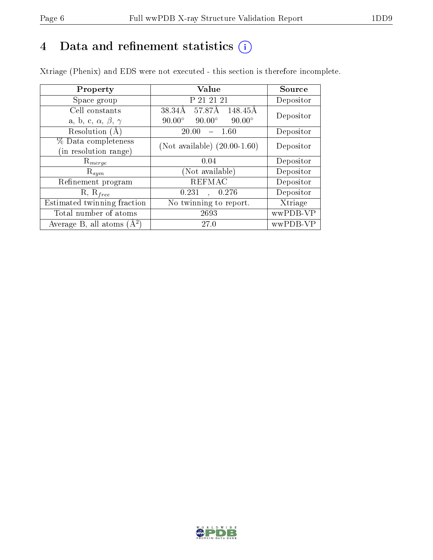## 4 Data and refinement statistics  $(i)$

Xtriage (Phenix) and EDS were not executed - this section is therefore incomplete.

| Property                               | <b>Value</b>                                    | Source    |  |
|----------------------------------------|-------------------------------------------------|-----------|--|
| Space group                            | P 21 21 21                                      | Depositor |  |
| Cell constants                         | 57.87Å<br>148.45Å<br>38.34Å                     | Depositor |  |
| a, b, c, $\alpha$ , $\beta$ , $\gamma$ | $90.00^\circ$<br>$90.00^\circ$<br>$90.00^\circ$ |           |  |
| Resolution (A)                         | 20.00<br>-1.60                                  | Depositor |  |
| % Data completeness                    | (Not available) $(20.00-1.60)$                  | Depositor |  |
| (in resolution range)                  |                                                 |           |  |
| $\mathrm{R}_{merge}$                   | 0.04                                            | Depositor |  |
| $\mathrm{R}_{sym}$                     | (Not available)                                 | Depositor |  |
| Refinement program                     | <b>REFMAC</b>                                   | Depositor |  |
| $R, R_{free}$                          | 0.276<br>0.231                                  | Depositor |  |
| Estimated twinning fraction            | No twinning to report.                          | Xtriage   |  |
| Total number of atoms                  | 2693                                            | wwPDB-VP  |  |
| Average B, all atoms $(A^2)$           | 27.0                                            | wwPDB-VP  |  |

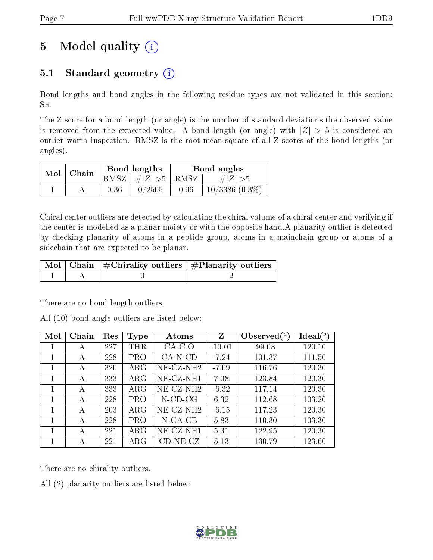# 5 Model quality  $(i)$

## 5.1 Standard geometry  $(i)$

Bond lengths and bond angles in the following residue types are not validated in this section: SR

The Z score for a bond length (or angle) is the number of standard deviations the observed value is removed from the expected value. A bond length (or angle) with  $|Z| > 5$  is considered an outlier worth inspection. RMSZ is the root-mean-square of all Z scores of the bond lengths (or angles).

|  | $Mol$   Chain |      | Bond lengths                   | Bond angles |                     |  |
|--|---------------|------|--------------------------------|-------------|---------------------|--|
|  |               |      | RMSZ $\mid \#Z \mid >5$   RMSZ |             | $\# Z  > 5$         |  |
|  |               | 0.36 | 0/2505                         | 0.96        | $10/3386$ $(0.3\%)$ |  |

Chiral center outliers are detected by calculating the chiral volume of a chiral center and verifying if the center is modelled as a planar moiety or with the opposite hand.A planarity outlier is detected by checking planarity of atoms in a peptide group, atoms in a mainchain group or atoms of a sidechain that are expected to be planar.

|  | $\mid$ Mol $\mid$ Chain $\mid$ #Chirality outliers $\mid$ #Planarity outliers $\mid$ |
|--|--------------------------------------------------------------------------------------|
|  |                                                                                      |

There are no bond length outliers.

All (10) bond angle outliers are listed below:

| Mol | Chain | Res | Type        | Atoms        | Z        | Observed $(°)$ | $\text{Ideal}(\textsuperscript{o})$ |
|-----|-------|-----|-------------|--------------|----------|----------------|-------------------------------------|
| 1   | А     | 227 | THR         | $CA-C-O$     | $-10.01$ | 99.08          | 120.10                              |
| 1   | А     | 228 | <b>PRO</b>  | $CA-N-CD$    | $-7.24$  | 101.37         | 111.50                              |
| 1   | А     | 320 | $\rm{ARG}$  | $NE- CZ-NH2$ | $-7.09$  | 116.76         | 120.30                              |
| 1   | А     | 333 | $\rm{ARG}$  | $NE-CZ-NH1$  | 7.08     | 123.84         | 120.30                              |
| 1   | А     | 333 | $\rm{ARG}$  | NE-CZ-NH2    | $-6.32$  | 117.14         | 120.30                              |
| 1   | А     | 228 | PRO         | $N$ -CD-CG   | 6.32     | 112.68         | 103.20                              |
| 1   | А     | 203 | $\rm{ARG}$  | $NE- CZ-NH2$ | $-6.15$  | 117.23         | 120.30                              |
| 1   | А     | 228 | <b>PRO</b>  | $N$ -CA-CB   | 5.83     | 110.30         | 103.30                              |
| 1   | А     | 221 | $\rm{ARG}$  | $NE-CZ-NH1$  | 5.31     | 122.95         | 120.30                              |
| 1   | А     | 221 | ${\rm ARG}$ | $CD-NE- CZ$  | 5.13     | 130.79         | 123.60                              |

There are no chirality outliers.

All (2) planarity outliers are listed below:

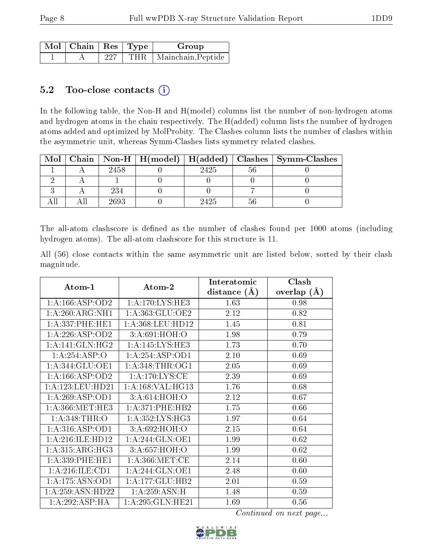| $\Box$ Mol $\parallel$ Chain $\parallel$ Res $\parallel$ Type $\perp$ |     | Group                    |
|-----------------------------------------------------------------------|-----|--------------------------|
|                                                                       | 227 | THR   Mainchain, Peptide |

### 5.2 Too-close contacts  $(i)$

In the following table, the Non-H and H(model) columns list the number of non-hydrogen atoms and hydrogen atoms in the chain respectively. The H(added) column lists the number of hydrogen atoms added and optimized by MolProbity. The Clashes column lists the number of clashes within the asymmetric unit, whereas Symm-Clashes lists symmetry related clashes.

| . Mol∣ |      |      | Chain   Non-H   H(model)   H(added)   Clashes   Symm-Clashes |
|--------|------|------|--------------------------------------------------------------|
|        | 2458 | 2425 |                                                              |
|        |      |      |                                                              |
|        | 234  |      |                                                              |
|        | 2693 | 2425 |                                                              |

The all-atom clashscore is defined as the number of clashes found per 1000 atoms (including hydrogen atoms). The all-atom clashscore for this structure is 11.

All (56) close contacts within the same asymmetric unit are listed below, sorted by their clash magnitude.

| Atom-1               | Atom-2               | Interatomic    | Clash         |
|----------------------|----------------------|----------------|---------------|
|                      |                      | distance $(A)$ | overlap $(A)$ |
| 1: A: 166: ASP: OD2  | 1: A:170:LYS:HE3     | 1.63           | 0.98          |
| 1: A:260: ARG:NH1    | 1: A:363: GLU:OE2    | 2.12           | 0.82          |
| 1:A:337:PHE:HE1      | 1:A:368:LEU:HD12     | 1.45           | 0.81          |
| 1:A:226:ASP:OD2      | 3:A:691:HOH:O        | 1.98           | 0.79          |
| 1:A:141:GLN:HG2      | 1:A:145:LYS:HE3      | 1.73           | 0.70          |
| 1:A:254:ASP:O        | 1:A:254:ASP:OD1      | 2.10           | 0.69          |
| 1: A:344: GLU:OE1    | 1: A:348:THR:OG1     | 2.05           | 0.69          |
| 1: A: 166: ASP: OD2  | 1: A:170: LYS: CE    | 2.39           | 0.69          |
| 1: A: 123: LEU: HD21 | 1: A: 168: VAL: HG13 | 1.76           | 0.68          |
| 1: A:269: ASP:OD1    | 3:A:614:HOH:O        | 2.12           | 0.67          |
| 1: A: 366: MET: HE3  | 1: A:371: PHE:HB2    | 1.75           | 0.66          |
| 1: A:348:THR:O       | 1: A: 352: LYS: HG3  | 1.97           | 0.64          |
| 1: A:316: ASP:OD1    | 3:A:692:HOH:O        | 2.15           | 0.64          |
| 1: A:216: ILE: HD12  | 1:A:244:GLN:OE1      | 1.99           | 0.62          |
| 1: A:315: ARG: HG3   | 3: A:657:HOH:O       | 1.99           | 0.62          |
| 1: A: 339: PHE: HE1  | 1: A:366: MET:CE     | 2.14           | 0.60          |
| 1:A:216:ILE:CD1      | 1: A:244: GLN:OE1    | 2.48           | 0.60          |
| 1:A:175:ASN:OD1      | 1:A:177:GLU:HB2      | 2.01           | 0.59          |
| 1:A:259:ASN:HD22     | 1:A:259:ASN:H        | 1.48           | 0.59          |
| 1:A:292:ASP:HA       | 1: A:295: GLN: HE21  | 1.69           | 0.56          |

Continued on next page...

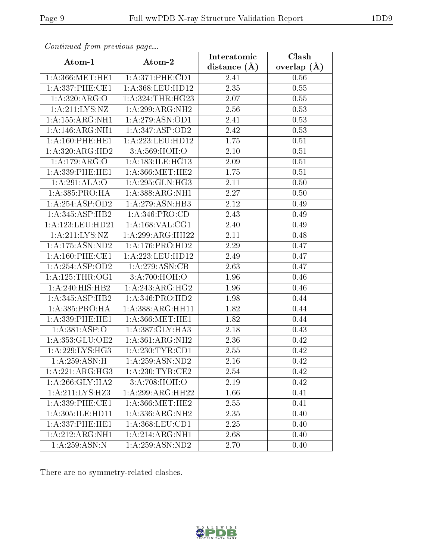| Contribution provided pugues |                                          | Interatomic      | Clash         |
|------------------------------|------------------------------------------|------------------|---------------|
| Atom-1                       | Atom-2                                   | distance $(\AA)$ | overlap $(A)$ |
| 1: A:366: MET:HE1            | 1: A:371:PHE:CD1                         | 2.41             | 0.56          |
| 1: A:337:PHE:CE1             | 1: A:368:LEU:HD12                        | 2.35             | 0.55          |
| 1:A:320:ARG:O                | 1:A:324:THR:HG23                         | 2.07             | 0.55          |
| 1: A:211:LYS:NZ              | $1:A:299:ARG:\overline{NH2}$             | 2.56             | 0.53          |
| 1:A:155:ARG:NH1              | 1:A:279:ASN:OD1                          | 2.41             | 0.53          |
| 1: A:146: ARG: NH1           | 1:A:347:ASP:OD2                          | 2.42             | 0.53          |
| 1: A:160: PHE:HE1            | 1:A:223:LEU:HD12                         | 1.75             | 0.51          |
| 1:A:320:ARG:HD2              | 3: A:569:HOH:O                           | 2.10             | 0.51          |
| 1:A:179:ARG:O                | 1: A: 183: ILE: HG13                     | 2.09             | 0.51          |
| 1: A: 339: PHE: HE1          | 1: A:366:MET:HE2                         | 1.75             | 0.51          |
| 1:A:291:ALA:O                | 1: A:295: GLN: HG3                       | 2.11             | 0.50          |
| 1: A: 385: PRO: HA           | 1:A:388:ARG:NH1                          | 2.27             | 0.50          |
| 1: A:254: ASP:OD2            | 1: A:279: ASN:HB3                        | 2.12             | 0.49          |
| 1:A:345:ASP:HB2              | 1:A:346:PRO:CD                           | 2.43             | 0.49          |
| 1: A: 123: LEU: HD21         | 1: A: 168: VAL: CG1                      | 2.40             | 0.49          |
| 1:A:211:LYS:NZ               | 1:A:299:ARG:HH22                         | 2.11             | 0.48          |
| 1: A: 175: ASN: ND2          | 1:A:176:PRO:HD2                          | 2.29             | 0.47          |
| 1: A:160: PHE:CE1            | 1:A:223:LEU:HD12                         | 2.49             | 0.47          |
| 1: A:254: ASP:OD2            | 1: A:279: ASN:CB                         | 2.63             | 0.47          |
| 1: A:125:THR:OG1             | 3:A:700:HOH:O                            | 1.96             | 0.46          |
| 1:A:240:HIS:HB2              | 1:A:243:ARG:HG2                          | 1.96             | 0.46          |
| 1:A:345:ASP:HB2              | 1: A: 346: PRO: HD2                      | 1.98             | 0.44          |
| 1: A: 385: PRO: HA           | 1:A:388:ARG:HH11                         | 1.82             | 0.44          |
| 1: A: 339: PHE: HE1          | 1: A:366:MET:HE1                         | 1.82             | 0.44          |
| 1: A: 381: ABP:O             | 1:A:387:GLY:HA3                          | 2.18             | 0.43          |
| 1:A:353:GLU:OE2              | 1:A:361:ARG:NH2                          | 2.36             | 0.42          |
| 1: A:229: LYS: HG3           | 1: A:230:TYR:CD1                         | 2.55             | 0.42          |
| 1: A:259: ASN:H              | 1:A:259:ASN:ND2                          | 2.16             | 0.42          |
| 1:A:221:ARG:HG3              | 1: A:230:TYR:CE2                         | 2.54             | 0.42          |
| 1:A:266:GLY:HA2              | 3:A:708:HOH:O                            | 2.19             | 0.42          |
| 1:A:211:LYS:HZ3              | 1:A:299:ARG:HH22                         | 1.66             | 0.41          |
| 1: A:339: PHE:CE1            | 1: A:366:MET:HE2                         | 2.55             | 0.41          |
| 1:A:305:ILE:HD11             | 1:A:336:ARG:NH2                          | 2.35             | 0.40          |
| 1: A: 337: PHE: HE1          | $1: A: 368: \overline{\textrm{LEU:CD1}}$ | 2.25             | 0.40          |
| 1:A:212:ARG:NH1              | 1:A:214:ARG:NH1                          | 2.68             | 0.40          |
| 1: A: 259: ASN: N            | 1: A:259: ASN:ND2                        | 2.70             | 0.40          |

Continued from previous page.

There are no symmetry-related clashes.

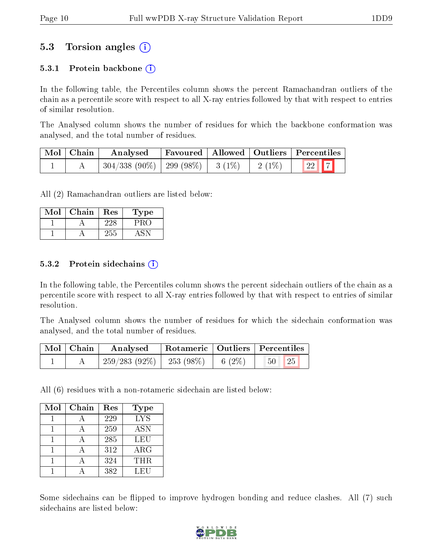## 5.3 Torsion angles (i)

#### 5.3.1 Protein backbone  $(i)$

In the following table, the Percentiles column shows the percent Ramachandran outliers of the chain as a percentile score with respect to all X-ray entries followed by that with respect to entries of similar resolution.

The Analysed column shows the number of residues for which the backbone conformation was analysed, and the total number of residues.

| Mol   Chain | Analysed                                       |  |          | Favoured   Allowed   Outliers   Percentiles |
|-------------|------------------------------------------------|--|----------|---------------------------------------------|
|             | $^{\prime}$ 304/338 (90%)   299 (98%)   3 (1%) |  | $2(1\%)$ | $\boxed{22}$ $\boxed{7}$                    |

All (2) Ramachandran outliers are listed below:

| Mol | Chain | Res  | Fype |
|-----|-------|------|------|
|     |       |      |      |
|     |       | 50 L |      |

#### 5.3.2 Protein sidechains  $(i)$

In the following table, the Percentiles column shows the percent sidechain outliers of the chain as a percentile score with respect to all X-ray entries followed by that with respect to entries of similar resolution.

The Analysed column shows the number of residues for which the sidechain conformation was analysed, and the total number of residues.

| Mol   Chain | Analysed        |            |           | Rotameric   Outliers   Percentiles |
|-------------|-----------------|------------|-----------|------------------------------------|
|             | $259/283(92\%)$ | 253 (98\%) | 6 $(2\%)$ | 25<br>50 <sub>1</sub>              |

All (6) residues with a non-rotameric sidechain are listed below:

| Mol | Chain | Res | Type       |
|-----|-------|-----|------------|
|     |       | 229 | <b>LYS</b> |
|     |       | 259 | <b>ASN</b> |
|     |       | 285 | LEU        |
|     |       | 312 | $\rm{ARG}$ |
|     |       | 324 | <b>THR</b> |
|     |       | 382 | LEU        |

Some sidechains can be flipped to improve hydrogen bonding and reduce clashes. All (7) such sidechains are listed below:

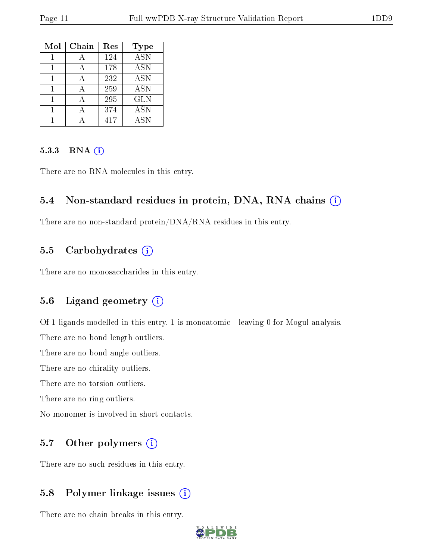| Mol | Chain | $\operatorname{Res}$ | Type                    |
|-----|-------|----------------------|-------------------------|
|     |       | 124                  | $\overline{\text{ASN}}$ |
|     | А     | 178                  | <b>ASN</b>              |
|     |       | 232                  | <b>ASN</b>              |
|     |       | 259                  | <b>ASN</b>              |
|     |       | 295                  | <b>GLN</b>              |
|     |       | 374                  | <b>ASN</b>              |
|     |       | 417                  | <b>ASN</b>              |

#### 5.3.3 RNA [O](https://www.wwpdb.org/validation/2017/XrayValidationReportHelp#rna)i

There are no RNA molecules in this entry.

#### 5.4 Non-standard residues in protein, DNA, RNA chains (i)

There are no non-standard protein/DNA/RNA residues in this entry.

### 5.5 Carbohydrates (i)

There are no monosaccharides in this entry.

#### 5.6 Ligand geometry  $(i)$

Of 1 ligands modelled in this entry, 1 is monoatomic - leaving 0 for Mogul analysis.

There are no bond length outliers.

There are no bond angle outliers.

There are no chirality outliers.

There are no torsion outliers.

There are no ring outliers.

No monomer is involved in short contacts.

### 5.7 [O](https://www.wwpdb.org/validation/2017/XrayValidationReportHelp#nonstandard_residues_and_ligands)ther polymers  $(i)$

There are no such residues in this entry.

### 5.8 Polymer linkage issues  $(i)$

There are no chain breaks in this entry.